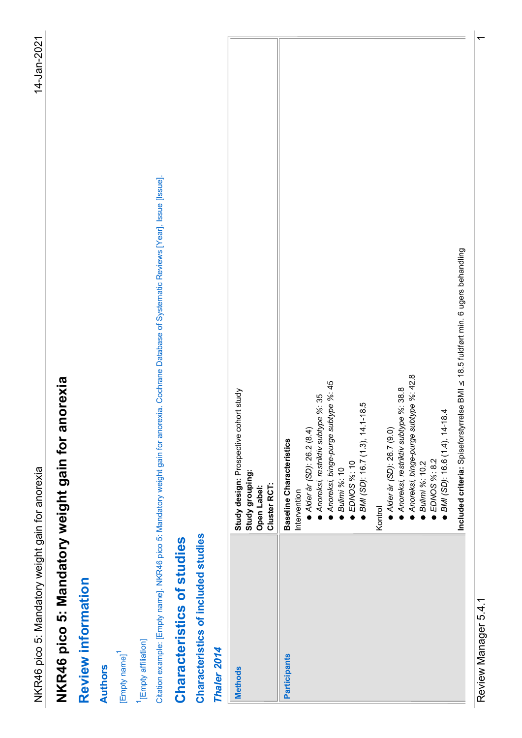| [Issue].<br>Citation example: [Empty name]. NKR46 pico 5: Mandatory weight gain for anorexia. Cochrane Database of Systematic Reviews [Year], Issue<br>NKR46 pico 5: Mandatory weight gain for anorexia<br>NKR46 pico 5: Mandatory weight gain for anorexia<br>Characteristics of studies<br>$\overline{\mathbf{S}}$<br><b>Review informati</b><br><sup>1</sup> [Empty affiliation]<br>[Empty name] <sup>1</sup><br><b>Authors</b> |
|------------------------------------------------------------------------------------------------------------------------------------------------------------------------------------------------------------------------------------------------------------------------------------------------------------------------------------------------------------------------------------------------------------------------------------|
|                                                                                                                                                                                                                                                                                                                                                                                                                                    |
|                                                                                                                                                                                                                                                                                                                                                                                                                                    |
|                                                                                                                                                                                                                                                                                                                                                                                                                                    |
|                                                                                                                                                                                                                                                                                                                                                                                                                                    |
|                                                                                                                                                                                                                                                                                                                                                                                                                                    |
|                                                                                                                                                                                                                                                                                                                                                                                                                                    |
|                                                                                                                                                                                                                                                                                                                                                                                                                                    |
| Characteristics of included studies                                                                                                                                                                                                                                                                                                                                                                                                |
| Thaler 2014                                                                                                                                                                                                                                                                                                                                                                                                                        |
| Study design: Prospective cohort study<br>Study grouping:<br>Open Label:<br>Cluster RCT:<br><b>Methods</b>                                                                                                                                                                                                                                                                                                                         |
| Anoreksi, binge-purge subtype %: 45<br>Anoreksi, restriktiv subtype %: 35<br>● <i>EDNOS %</i> : 10<br>● <i>BMI (SD)</i> : 16.7 (1.3), 14.1-18.5<br>Alder år (SD): 26.2 (8.4)<br><b>Baseline Characteristics</b><br>Bulimi %: 10<br>Intervention<br>Participants                                                                                                                                                                    |
| ● Alder år (SD): 26.7 (9.0)<br>Kontrol                                                                                                                                                                                                                                                                                                                                                                                             |
| Included criteria: Spiseforstyrrelse BMI $\leq$ 18.5 fuldført min. 6 ugers behandling<br>● Anoreksi, restriktiv subtype %: 38.8<br>● Anoreksi, binge-purge subtype %: 42.8<br>● Bulimi %: 10.2<br>■ BMI (SD): 16.6 (1.4), 14-18.4<br>EDNOS %: 8.2                                                                                                                                                                                  |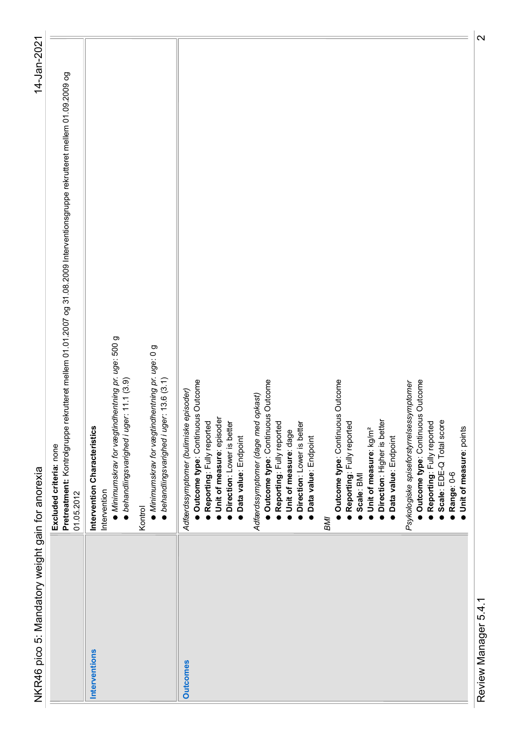| NKR46 pico 5: Mandatory weight gain for anorexia                                                                                                                                                       | 14-Jan-2021                                                                                                                  |
|--------------------------------------------------------------------------------------------------------------------------------------------------------------------------------------------------------|------------------------------------------------------------------------------------------------------------------------------|
| Excluded criteria: none<br>01.05.2012                                                                                                                                                                  | Pretreatment: Kontrolgruppe rekrutteret mellem 01.01.2007 og 31.08.2009 Interventionsgruppe rekrutteret mellem 01.09.2009 og |
| ● Minimumskrav for vægtindhentning pr. uge: 500 g<br>· behandlingsvarighed i uger: 11.1 (3.9)<br>Intervention Characteristics<br>Intervention                                                          |                                                                                                                              |
| · Minimumskrav for vægtindhentning pr. uge: 0 g<br>• behandlingsvarighed i uger: 13.6 (3.1)<br>Kontrol                                                                                                 |                                                                                                                              |
| Outcome type: Continuous Outcome<br>Adfærdssymptomer (bulimiske episoder)<br>Unit of measure: episoder<br>Reporting: Fully reported<br>Direction: Lower is better<br>Data value: Endpoint<br>$\bullet$ |                                                                                                                              |
| · Outcome type: Continuous Outcome<br>Adfærdssymptomer (dage med opkast)<br>Reporting: Fully reported<br>Direction: Lower is better<br>Unit of measure: dage<br>· Data value: Endpoint                 |                                                                                                                              |
| Outcome type: Continuous Outcome<br>Direction: Higher is better<br>Reporting: Fully reported<br>Unit of measure: kg/m <sup>2</sup><br>Data value: Endpoint<br>Scale: BMI<br><b>INB</b>                 |                                                                                                                              |
| · Outcome type: Continuous Outcome<br>Psykologiske spiseforstyrrelsessymptomer<br>· Reporting: Fully reported<br>Scale: EDE-Q Total score<br>Range: 0-6<br>Unit of measure: points                     |                                                                                                                              |
|                                                                                                                                                                                                        |                                                                                                                              |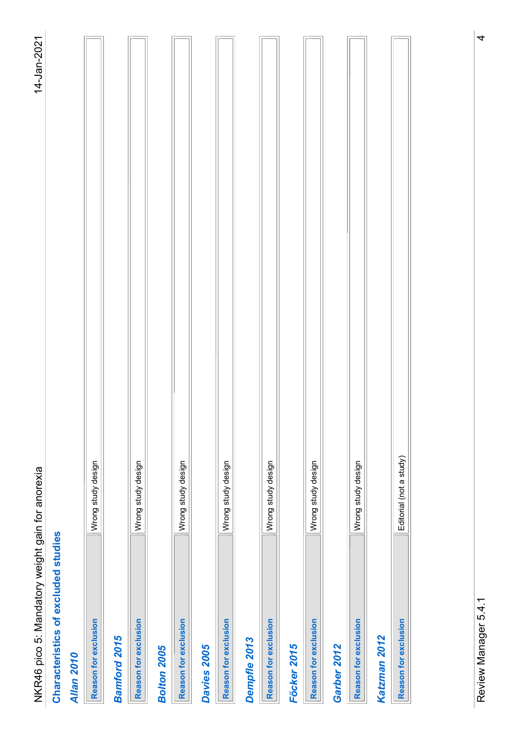| $\frac{1}{2}$ | Sistes<br>Ī<br>.<br>אממית |
|---------------|---------------------------|
|               |                           |

| <b>Service Service</b> |
|------------------------|
|                        |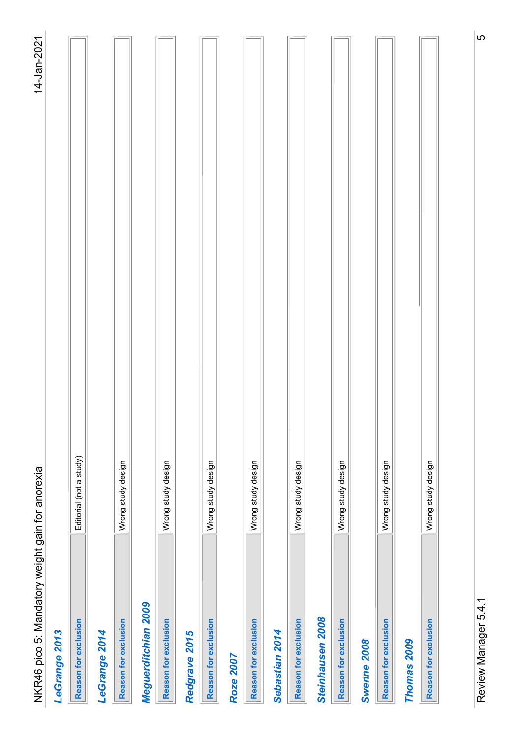| ယ<br>Editorial (not a study)<br>Wrong study design<br>Wrong study design<br>Wrong study design<br>Wrong study design<br>Wrong study design<br>Wrong study design<br>Wrong study design<br>Wrong study design<br>Review Manager 5.4.1<br>Meguerditchian 2009<br>Steinhausen 2008<br>Reason for exclusion<br>Reason for exclusion<br>Reason for exclusion<br>Reason for exclusion<br>Reason for exclusion<br>Reason for exclusion<br>Reason for exclusion<br>Reason for exclusion<br>Reason for exclusion<br>Sebastian 2014<br>LeGrange 2013<br>LeGrange 2014<br>Redgrave 2015<br>Swenne 2008<br>Thomas 2009<br>Roze 2007 |
|-------------------------------------------------------------------------------------------------------------------------------------------------------------------------------------------------------------------------------------------------------------------------------------------------------------------------------------------------------------------------------------------------------------------------------------------------------------------------------------------------------------------------------------------------------------------------------------------------------------------------|
|                                                                                                                                                                                                                                                                                                                                                                                                                                                                                                                                                                                                                         |
|                                                                                                                                                                                                                                                                                                                                                                                                                                                                                                                                                                                                                         |
|                                                                                                                                                                                                                                                                                                                                                                                                                                                                                                                                                                                                                         |
|                                                                                                                                                                                                                                                                                                                                                                                                                                                                                                                                                                                                                         |
|                                                                                                                                                                                                                                                                                                                                                                                                                                                                                                                                                                                                                         |
|                                                                                                                                                                                                                                                                                                                                                                                                                                                                                                                                                                                                                         |
|                                                                                                                                                                                                                                                                                                                                                                                                                                                                                                                                                                                                                         |
|                                                                                                                                                                                                                                                                                                                                                                                                                                                                                                                                                                                                                         |
|                                                                                                                                                                                                                                                                                                                                                                                                                                                                                                                                                                                                                         |
|                                                                                                                                                                                                                                                                                                                                                                                                                                                                                                                                                                                                                         |
|                                                                                                                                                                                                                                                                                                                                                                                                                                                                                                                                                                                                                         |
|                                                                                                                                                                                                                                                                                                                                                                                                                                                                                                                                                                                                                         |
|                                                                                                                                                                                                                                                                                                                                                                                                                                                                                                                                                                                                                         |
|                                                                                                                                                                                                                                                                                                                                                                                                                                                                                                                                                                                                                         |
|                                                                                                                                                                                                                                                                                                                                                                                                                                                                                                                                                                                                                         |
|                                                                                                                                                                                                                                                                                                                                                                                                                                                                                                                                                                                                                         |
|                                                                                                                                                                                                                                                                                                                                                                                                                                                                                                                                                                                                                         |
|                                                                                                                                                                                                                                                                                                                                                                                                                                                                                                                                                                                                                         |
|                                                                                                                                                                                                                                                                                                                                                                                                                                                                                                                                                                                                                         |
|                                                                                                                                                                                                                                                                                                                                                                                                                                                                                                                                                                                                                         |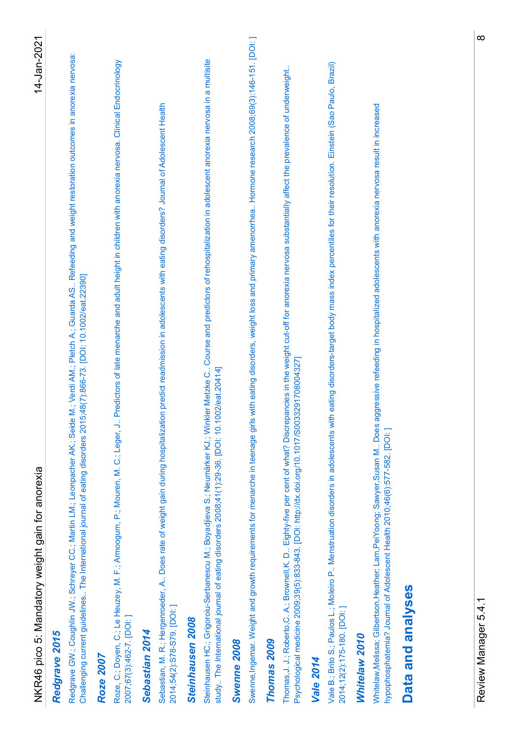| $\infty$<br>14-Jan-2021<br>Hormone research 2008;69(3):146-151. [DOI: ]<br>restoration outcomes in anorexia nervosa:<br>Steinhausen HC.; Grigoroiu-Serbanescu M.; Boyadjieva S.; Neumärker KJ.; Winkler Metzke C Course and predictors of rehospitalization in adolescent anorexia nervosa in a multisite<br>study The International journal of eatin<br>Roze, C.; Doyen, C.; Le Heuzey, M. F.; Armoogum, P.; Mouren, M. C.; Leger, J Predictors of late menarche and adult height in children with anorexia nervosa. Clinical Endocrinology<br>2007;67(3):462-7. [DOI: ]<br>Vale B.; Brito S.; Paulos L.; Moleiro P Menstruation disorders in adolescents with eating disorders-target body mass index percentiles for their resolution. Einstein (Sao Paulo, Brazil)<br>affect the prevalence of underweight.<br>ournal of Adolescent Health<br>nervosa result in increased<br>Whitelaw, Melissa; Gilbertson, Heather; Lam, PeiYoong; Sawyer, Susan M Does aggressive refeeding in hospitalized adolescents with anorexia<br>Thomas, J. J.; Roberto, C. A.; Brownell, K. D Eighty-five per cent of what? Discrepancies in the weight cut-off for anorexia nervosa substantially<br>⊃<br>Schreyer CC.; Martin LM.; Leonpacher AK.; Seide M.; Verdi AM.; Pletch A.; Guarda AS Refeeding and weight<br>growth requirements for menarche in teenage girls with eating disorders, weight loss and primary amenorrhea<br>Sebastian, M. R.; Hergenroeder, A Does rate of weight gain during hospitalization predict readmission in adolescents with eating disorders?<br>The International journal of eating disorders 2015;48(7):866-73. [DOI: 10.1002/eat.22390]<br>Psychological medicine 2009;39(5):833-843. [DOI: http://dx.doi.org/10.1017/S0033291708004327]<br>hypophosphatemia? Journal of Adolescent Health 2010;46(6):577-582. [DOI:]<br>NKR46 pico 5: Mandatory weight gain for anorexia<br>Data and analyses<br>Redgrave GW.; Coughlin JW.;<br>Challenging current guidelines<br>Swenne, Ingemar. Weight and<br>Review Manager 5.4.1<br>2014;54(2):S78-S79. [DOI: ]<br>2014;12(2):175-180. [DOI:]<br>Steinhausen 2008<br>Sebastian 2014<br>Redgrave 2015<br>Whitelaw 2010<br>Thomas 2009<br>Swenne 2008<br><b>Roze 2007</b><br><b>Vale 2014</b> |
|---------------------------------------------------------------------------------------------------------------------------------------------------------------------------------------------------------------------------------------------------------------------------------------------------------------------------------------------------------------------------------------------------------------------------------------------------------------------------------------------------------------------------------------------------------------------------------------------------------------------------------------------------------------------------------------------------------------------------------------------------------------------------------------------------------------------------------------------------------------------------------------------------------------------------------------------------------------------------------------------------------------------------------------------------------------------------------------------------------------------------------------------------------------------------------------------------------------------------------------------------------------------------------------------------------------------------------------------------------------------------------------------------------------------------------------------------------------------------------------------------------------------------------------------------------------------------------------------------------------------------------------------------------------------------------------------------------------------------------------------------------------------------------------------------------------------------------------------------------------------------------------------------------------------------------------------------------------------------------------------------------------------------------------------------------------------------------------------------------------------------------------------------------------------------------------------------------------------------------------------------------|
|                                                                                                                                                                                                                                                                                                                                                                                                                                                                                                                                                                                                                                                                                                                                                                                                                                                                                                                                                                                                                                                                                                                                                                                                                                                                                                                                                                                                                                                                                                                                                                                                                                                                                                                                                                                                                                                                                                                                                                                                                                                                                                                                                                                                                                                         |
|                                                                                                                                                                                                                                                                                                                                                                                                                                                                                                                                                                                                                                                                                                                                                                                                                                                                                                                                                                                                                                                                                                                                                                                                                                                                                                                                                                                                                                                                                                                                                                                                                                                                                                                                                                                                                                                                                                                                                                                                                                                                                                                                                                                                                                                         |
|                                                                                                                                                                                                                                                                                                                                                                                                                                                                                                                                                                                                                                                                                                                                                                                                                                                                                                                                                                                                                                                                                                                                                                                                                                                                                                                                                                                                                                                                                                                                                                                                                                                                                                                                                                                                                                                                                                                                                                                                                                                                                                                                                                                                                                                         |
|                                                                                                                                                                                                                                                                                                                                                                                                                                                                                                                                                                                                                                                                                                                                                                                                                                                                                                                                                                                                                                                                                                                                                                                                                                                                                                                                                                                                                                                                                                                                                                                                                                                                                                                                                                                                                                                                                                                                                                                                                                                                                                                                                                                                                                                         |
|                                                                                                                                                                                                                                                                                                                                                                                                                                                                                                                                                                                                                                                                                                                                                                                                                                                                                                                                                                                                                                                                                                                                                                                                                                                                                                                                                                                                                                                                                                                                                                                                                                                                                                                                                                                                                                                                                                                                                                                                                                                                                                                                                                                                                                                         |
|                                                                                                                                                                                                                                                                                                                                                                                                                                                                                                                                                                                                                                                                                                                                                                                                                                                                                                                                                                                                                                                                                                                                                                                                                                                                                                                                                                                                                                                                                                                                                                                                                                                                                                                                                                                                                                                                                                                                                                                                                                                                                                                                                                                                                                                         |
|                                                                                                                                                                                                                                                                                                                                                                                                                                                                                                                                                                                                                                                                                                                                                                                                                                                                                                                                                                                                                                                                                                                                                                                                                                                                                                                                                                                                                                                                                                                                                                                                                                                                                                                                                                                                                                                                                                                                                                                                                                                                                                                                                                                                                                                         |
|                                                                                                                                                                                                                                                                                                                                                                                                                                                                                                                                                                                                                                                                                                                                                                                                                                                                                                                                                                                                                                                                                                                                                                                                                                                                                                                                                                                                                                                                                                                                                                                                                                                                                                                                                                                                                                                                                                                                                                                                                                                                                                                                                                                                                                                         |
|                                                                                                                                                                                                                                                                                                                                                                                                                                                                                                                                                                                                                                                                                                                                                                                                                                                                                                                                                                                                                                                                                                                                                                                                                                                                                                                                                                                                                                                                                                                                                                                                                                                                                                                                                                                                                                                                                                                                                                                                                                                                                                                                                                                                                                                         |
|                                                                                                                                                                                                                                                                                                                                                                                                                                                                                                                                                                                                                                                                                                                                                                                                                                                                                                                                                                                                                                                                                                                                                                                                                                                                                                                                                                                                                                                                                                                                                                                                                                                                                                                                                                                                                                                                                                                                                                                                                                                                                                                                                                                                                                                         |
|                                                                                                                                                                                                                                                                                                                                                                                                                                                                                                                                                                                                                                                                                                                                                                                                                                                                                                                                                                                                                                                                                                                                                                                                                                                                                                                                                                                                                                                                                                                                                                                                                                                                                                                                                                                                                                                                                                                                                                                                                                                                                                                                                                                                                                                         |
|                                                                                                                                                                                                                                                                                                                                                                                                                                                                                                                                                                                                                                                                                                                                                                                                                                                                                                                                                                                                                                                                                                                                                                                                                                                                                                                                                                                                                                                                                                                                                                                                                                                                                                                                                                                                                                                                                                                                                                                                                                                                                                                                                                                                                                                         |
|                                                                                                                                                                                                                                                                                                                                                                                                                                                                                                                                                                                                                                                                                                                                                                                                                                                                                                                                                                                                                                                                                                                                                                                                                                                                                                                                                                                                                                                                                                                                                                                                                                                                                                                                                                                                                                                                                                                                                                                                                                                                                                                                                                                                                                                         |
|                                                                                                                                                                                                                                                                                                                                                                                                                                                                                                                                                                                                                                                                                                                                                                                                                                                                                                                                                                                                                                                                                                                                                                                                                                                                                                                                                                                                                                                                                                                                                                                                                                                                                                                                                                                                                                                                                                                                                                                                                                                                                                                                                                                                                                                         |
|                                                                                                                                                                                                                                                                                                                                                                                                                                                                                                                                                                                                                                                                                                                                                                                                                                                                                                                                                                                                                                                                                                                                                                                                                                                                                                                                                                                                                                                                                                                                                                                                                                                                                                                                                                                                                                                                                                                                                                                                                                                                                                                                                                                                                                                         |
|                                                                                                                                                                                                                                                                                                                                                                                                                                                                                                                                                                                                                                                                                                                                                                                                                                                                                                                                                                                                                                                                                                                                                                                                                                                                                                                                                                                                                                                                                                                                                                                                                                                                                                                                                                                                                                                                                                                                                                                                                                                                                                                                                                                                                                                         |
|                                                                                                                                                                                                                                                                                                                                                                                                                                                                                                                                                                                                                                                                                                                                                                                                                                                                                                                                                                                                                                                                                                                                                                                                                                                                                                                                                                                                                                                                                                                                                                                                                                                                                                                                                                                                                                                                                                                                                                                                                                                                                                                                                                                                                                                         |
|                                                                                                                                                                                                                                                                                                                                                                                                                                                                                                                                                                                                                                                                                                                                                                                                                                                                                                                                                                                                                                                                                                                                                                                                                                                                                                                                                                                                                                                                                                                                                                                                                                                                                                                                                                                                                                                                                                                                                                                                                                                                                                                                                                                                                                                         |
|                                                                                                                                                                                                                                                                                                                                                                                                                                                                                                                                                                                                                                                                                                                                                                                                                                                                                                                                                                                                                                                                                                                                                                                                                                                                                                                                                                                                                                                                                                                                                                                                                                                                                                                                                                                                                                                                                                                                                                                                                                                                                                                                                                                                                                                         |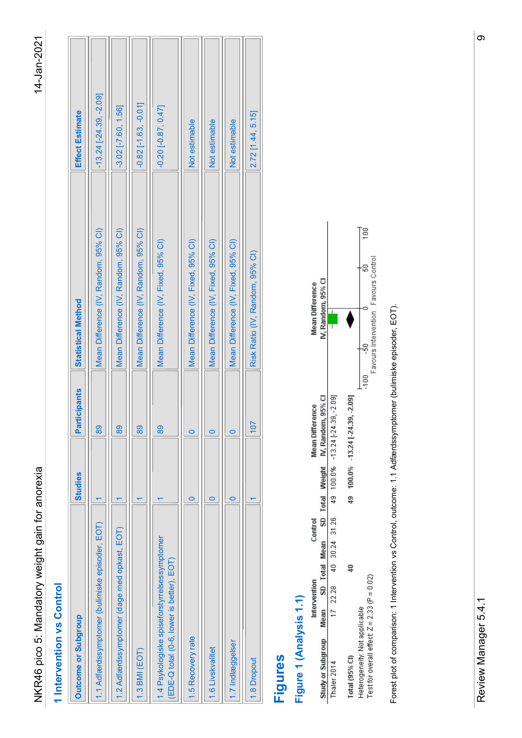| $\infty$<br>$-13.24$ $[-24.39, -2.09]$<br>$-0.82$ $[-1.63, -0.01]$<br>$-3.02$ $[-7.60, 1.56]$<br>$-0.20[-0.87, 0.47]$<br>2.72 [1.44, 5.15]<br>Effect Estimate<br>Not estimable<br>Not estimable<br>Not estimable<br>Ţξ<br>Mean Difference (IV, Random, 95% CI)<br>Mean Difference (IV, Random, 95% CI)<br>Mean Difference (IV, Random, 95% CI)<br>Mean Difference (IV, Fixed, 95% CI)<br>Mean Difference (IV, Fixed, 95% CI)<br>Mean Difference (IV, Fixed, 95% CI)<br>Mean Difference (IV, Fixed, 95% CI)<br>Risk Ratio (IV, Random, 95% CI)<br>o<br>Favours Control<br>Mean Difference<br>IV, Random, 95% Cl<br>Statistical Method<br>Forest plot of comparison: 1 Intervention vs Control, outcome: 1.1 Adfærdssymptomer (bulimiske episoder, EOT).<br>0<br>-100<br>Favours Intervention<br>Favours Intervention<br>Participants<br>Mean Difference<br>IV, Random, 95% Cl<br>$-13.24$ $[-24.39, -2.09]$<br>100.0% - 13.24 [-24.39, -2.09]<br> 107 <br>89<br>$\frac{89}{2}$<br>$\frac{89}{2}$<br>$\frac{89}{2}$<br>$\circ$<br>$\circ$<br>$\circ$<br>SD Total Weight<br>100.0%<br>Studies<br>49<br>$\frac{9}{4}$<br>$\circ$<br>$\circ$<br>$\circ$<br>$\overline{\phantom{0}}$<br>$\overline{\phantom{0}}$<br>$\overline{\phantom{0}}$<br>$\leftarrow$<br>$\overline{\phantom{0}}$<br>30.24 31.26<br>Control<br>1.1 Adfærdssymptomer (bulimiske episoder, EOT)<br>1.2 Adfærdssymptomer (dage med opkast, EOT)<br>1.4 Psykologiske spiseforstyrrelsessymptomer<br>SD Total Mean<br>(EDE-Q total (0-6, lower is better), EOT)<br>$\Xi$<br>40<br>Heterogeneity: Not applicable<br>Test for overall effect: Z = 2.33 (P = 0.02)<br>Intervention<br>1 Intervention vs Control<br>28<br>Figure 1 (Analysis 1.1)<br>Study or Subgroup Mean<br>17 22<br>Review Manager 5.4.1<br>Outcome or Subgroup |  |  |
|---------------------------------------------------------------------------------------------------------------------------------------------------------------------------------------------------------------------------------------------------------------------------------------------------------------------------------------------------------------------------------------------------------------------------------------------------------------------------------------------------------------------------------------------------------------------------------------------------------------------------------------------------------------------------------------------------------------------------------------------------------------------------------------------------------------------------------------------------------------------------------------------------------------------------------------------------------------------------------------------------------------------------------------------------------------------------------------------------------------------------------------------------------------------------------------------------------------------------------------------------------------------------------------------------------------------------------------------------------------------------------------------------------------------------------------------------------------------------------------------------------------------------------------------------------------------------------------------------------------------------------------------------------------------------------------------------------------------------------------------------------------------------------------------|--|--|
|                                                                                                                                                                                                                                                                                                                                                                                                                                                                                                                                                                                                                                                                                                                                                                                                                                                                                                                                                                                                                                                                                                                                                                                                                                                                                                                                                                                                                                                                                                                                                                                                                                                                                                                                                                                             |  |  |
|                                                                                                                                                                                                                                                                                                                                                                                                                                                                                                                                                                                                                                                                                                                                                                                                                                                                                                                                                                                                                                                                                                                                                                                                                                                                                                                                                                                                                                                                                                                                                                                                                                                                                                                                                                                             |  |  |
|                                                                                                                                                                                                                                                                                                                                                                                                                                                                                                                                                                                                                                                                                                                                                                                                                                                                                                                                                                                                                                                                                                                                                                                                                                                                                                                                                                                                                                                                                                                                                                                                                                                                                                                                                                                             |  |  |
|                                                                                                                                                                                                                                                                                                                                                                                                                                                                                                                                                                                                                                                                                                                                                                                                                                                                                                                                                                                                                                                                                                                                                                                                                                                                                                                                                                                                                                                                                                                                                                                                                                                                                                                                                                                             |  |  |
|                                                                                                                                                                                                                                                                                                                                                                                                                                                                                                                                                                                                                                                                                                                                                                                                                                                                                                                                                                                                                                                                                                                                                                                                                                                                                                                                                                                                                                                                                                                                                                                                                                                                                                                                                                                             |  |  |
|                                                                                                                                                                                                                                                                                                                                                                                                                                                                                                                                                                                                                                                                                                                                                                                                                                                                                                                                                                                                                                                                                                                                                                                                                                                                                                                                                                                                                                                                                                                                                                                                                                                                                                                                                                                             |  |  |
|                                                                                                                                                                                                                                                                                                                                                                                                                                                                                                                                                                                                                                                                                                                                                                                                                                                                                                                                                                                                                                                                                                                                                                                                                                                                                                                                                                                                                                                                                                                                                                                                                                                                                                                                                                                             |  |  |
|                                                                                                                                                                                                                                                                                                                                                                                                                                                                                                                                                                                                                                                                                                                                                                                                                                                                                                                                                                                                                                                                                                                                                                                                                                                                                                                                                                                                                                                                                                                                                                                                                                                                                                                                                                                             |  |  |
|                                                                                                                                                                                                                                                                                                                                                                                                                                                                                                                                                                                                                                                                                                                                                                                                                                                                                                                                                                                                                                                                                                                                                                                                                                                                                                                                                                                                                                                                                                                                                                                                                                                                                                                                                                                             |  |  |
|                                                                                                                                                                                                                                                                                                                                                                                                                                                                                                                                                                                                                                                                                                                                                                                                                                                                                                                                                                                                                                                                                                                                                                                                                                                                                                                                                                                                                                                                                                                                                                                                                                                                                                                                                                                             |  |  |
|                                                                                                                                                                                                                                                                                                                                                                                                                                                                                                                                                                                                                                                                                                                                                                                                                                                                                                                                                                                                                                                                                                                                                                                                                                                                                                                                                                                                                                                                                                                                                                                                                                                                                                                                                                                             |  |  |
|                                                                                                                                                                                                                                                                                                                                                                                                                                                                                                                                                                                                                                                                                                                                                                                                                                                                                                                                                                                                                                                                                                                                                                                                                                                                                                                                                                                                                                                                                                                                                                                                                                                                                                                                                                                             |  |  |
|                                                                                                                                                                                                                                                                                                                                                                                                                                                                                                                                                                                                                                                                                                                                                                                                                                                                                                                                                                                                                                                                                                                                                                                                                                                                                                                                                                                                                                                                                                                                                                                                                                                                                                                                                                                             |  |  |
|                                                                                                                                                                                                                                                                                                                                                                                                                                                                                                                                                                                                                                                                                                                                                                                                                                                                                                                                                                                                                                                                                                                                                                                                                                                                                                                                                                                                                                                                                                                                                                                                                                                                                                                                                                                             |  |  |
|                                                                                                                                                                                                                                                                                                                                                                                                                                                                                                                                                                                                                                                                                                                                                                                                                                                                                                                                                                                                                                                                                                                                                                                                                                                                                                                                                                                                                                                                                                                                                                                                                                                                                                                                                                                             |  |  |
|                                                                                                                                                                                                                                                                                                                                                                                                                                                                                                                                                                                                                                                                                                                                                                                                                                                                                                                                                                                                                                                                                                                                                                                                                                                                                                                                                                                                                                                                                                                                                                                                                                                                                                                                                                                             |  |  |

|                        |                                                       |                                                          |                                   | Ξ                                                              |
|------------------------|-------------------------------------------------------|----------------------------------------------------------|-----------------------------------|----------------------------------------------------------------|
|                        |                                                       |                                                          |                                   |                                                                |
| <b>Mean Difference</b> | IV, Random, 95% CI                                    |                                                          |                                   | Favours Intervention Favours Control                           |
|                        |                                                       |                                                          |                                   |                                                                |
|                        |                                                       |                                                          |                                   | 100                                                            |
| <b>Mean Difference</b> | Mean SD Total Mean SD Total Weight IV, Random, 95% CL | 17 22.28 40 30.24 31.26 49 100.0% -13.24 [-24.39, -2.09] | 49 100.0% - 13.24 [-24.39, -2.09] |                                                                |
|                        |                                                       |                                                          |                                   |                                                                |
|                        |                                                       |                                                          |                                   |                                                                |
| Control                |                                                       |                                                          |                                   |                                                                |
|                        |                                                       |                                                          |                                   |                                                                |
|                        |                                                       |                                                          | ₽                                 |                                                                |
| Intervention           |                                                       |                                                          |                                   | $2.33(P = 0.02)$                                               |
|                        |                                                       |                                                          |                                   |                                                                |
|                        | Study or Subgroup                                     | haler 2014                                               | Total(95% <sub>CD</sub> )         | leterogeneity: Not applicable<br>est for overall effect: $Z =$ |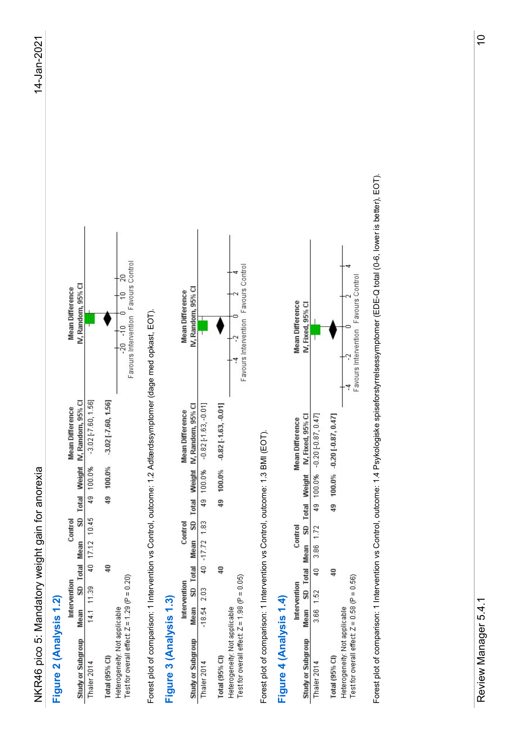| <b>Mean Difference</b> | IV, Random, 95% CI                                                      |                                                        |                                 | Francisco de la constitución de la constitución de la constitución de la constitución de la constitución de la<br>$-20 - 10$ 0 |
|------------------------|-------------------------------------------------------------------------|--------------------------------------------------------|---------------------------------|--------------------------------------------------------------------------------------------------------------------------------|
|                        |                                                                         |                                                        |                                 |                                                                                                                                |
| <b>Mean Difference</b> |                                                                         | 4.1 11.39 40 17.12 10.45 49 100.0% -3.02 [-7.60, 1.56] | 49 100.0% 3.02 [7.60, 1.56]     |                                                                                                                                |
|                        |                                                                         |                                                        |                                 |                                                                                                                                |
|                        |                                                                         |                                                        |                                 |                                                                                                                                |
| Control                |                                                                         |                                                        |                                 |                                                                                                                                |
|                        |                                                                         |                                                        |                                 |                                                                                                                                |
|                        |                                                                         |                                                        | $\overline{40}$                 |                                                                                                                                |
| Intervention           |                                                                         |                                                        |                                 | 1.29 (P = $0.20$ )                                                                                                             |
|                        |                                                                         |                                                        |                                 |                                                                                                                                |
|                        | Study or Subgroup Mean SD Total Mean SD Total Weight IV, Random, 95% CI | Thaler 2014                                            | $\lceil$ otal (95% $\lceil$ Cl) | Heterogeneity: Not applicable<br>est for overall effect: Z =                                                                   |

| IV, Random, 95% CI<br><b>Mean Difference</b><br>SD Total Weight IV, Random, 95% CI<br>$-3.02$ $[-7.60, 1.56]$<br><b>Mean Difference</b><br>100.0%<br>49 100.0%<br>NKR46 pico 5: Mandatory weight gain for anorexia<br>40 17.12 10.45<br>Control<br>SD Total Mean<br>Intervention<br>11.39<br>Figure 2 (Analysis 1.2)<br>Mean<br>14.1<br>Study or Subgroup<br>Thaler 2014                                                                                                                                                                                                                                              |                             |
|-----------------------------------------------------------------------------------------------------------------------------------------------------------------------------------------------------------------------------------------------------------------------------------------------------------------------------------------------------------------------------------------------------------------------------------------------------------------------------------------------------------------------------------------------------------------------------------------------------------------------|-----------------------------|
|                                                                                                                                                                                                                                                                                                                                                                                                                                                                                                                                                                                                                       |                             |
| $-3.02$ [ $-7.60$ , 1.56]<br>49<br>$\overline{40}$<br>Total (95% CI)                                                                                                                                                                                                                                                                                                                                                                                                                                                                                                                                                  |                             |
| o<br>Favours Intervention<br>Ş<br>ķ<br>Heterogeneity: Not applicable<br>Test for overall effect: Z = 1.29 (P = 0.20)                                                                                                                                                                                                                                                                                                                                                                                                                                                                                                  | Favours Control<br>∤੨<br>∤e |
| Intervention vs Control, outcome: 1.2 Adfærdssymptomer (dage med opkast, EOT).<br>Forest plot of comparison: 1                                                                                                                                                                                                                                                                                                                                                                                                                                                                                                        |                             |
| <b>Mean Difference</b><br><b>Mean Difference</b><br>Control<br>Intervention<br>Figure 3 (Analysis 1.3)                                                                                                                                                                                                                                                                                                                                                                                                                                                                                                                |                             |
| IV, Random, 95% CI<br>$-0.82$ [-1.63, $-0.01$ ]<br>SD Total Weight IV, Random, 95% CI<br>49 100.0%<br>40 -17.72 1.83<br>SD Total Mean<br>2.03<br>Mean<br>$-18.54$<br>Study or Subgroup<br>Thaler 2014                                                                                                                                                                                                                                                                                                                                                                                                                 |                             |
| ∘<br>2<br>$-0.82[-1.63, -0.01]$<br>100.0%<br>49<br>40<br>Total (95% CI)                                                                                                                                                                                                                                                                                                                                                                                                                                                                                                                                               |                             |
| Favours Intervention<br>Heterogeneity: Not applicable<br>Test for overall effect: Z = 1.98 (P = 0.05)                                                                                                                                                                                                                                                                                                                                                                                                                                                                                                                 | Favours Control             |
| Intervention vs Control, outcome: 1.3 BMI (EOT).<br>Figure 4 (Analysis 1.4)<br>Forest plot of comparison: 1                                                                                                                                                                                                                                                                                                                                                                                                                                                                                                           |                             |
| <b>Mean Difference</b><br>IV, Fixed, 95% CI<br>IV, Fixed, 95% CI<br><b>Mean Difference</b><br>SD Total Weight<br>Control<br>SD Total Mean<br>Intervention<br>↽<br>Mean<br>Study or Subgroup                                                                                                                                                                                                                                                                                                                                                                                                                           |                             |
| $-0.20[-0.87, 0.47]$<br>$100.0\% - 0.20[-0.87, 0.47]$<br>100.0%<br>ą9<br>49<br>3.86 1.72<br>$\frac{1}{4}$<br>$\frac{1}{4}$<br>$\overline{52}$<br>3.66<br>Total (95% Cl)<br>Thaler 2014                                                                                                                                                                                                                                                                                                                                                                                                                                |                             |
| ⇨<br>$\begin{array}{c cc}\n\cdot & \cdot & \cdot & 0 \\ \hline\n\vdots & \vdots & \vdots \\ \vdots & \vdots & \vdots \\ \vdots & \vdots & \vdots \\ \vdots & \vdots & \vdots \\ \vdots & \vdots & \vdots \\ \vdots & \vdots & \vdots \\ \vdots & \vdots & \vdots \\ \vdots & \vdots & \vdots \\ \vdots & \vdots & \vdots \\ \vdots & \vdots & \vdots \\ \vdots & \vdots & \vdots \\ \vdots & \vdots & \vdots \\ \vdots & \vdots & \vdots \\ \vdots & \vdots & \vdots \\ \vdots & \vdots & \vdots \\ \vdots & \vdots & \vdots \\ \vd$<br>Heterogeneity: Not applicable<br>Test for overall effect: Z = 0.58 (P = 0.56) | ≖<br>Favours Control        |
| Intervention vs Control, outcome: 1.4 Psykologiske spiseforstyrrelsessymptomer (EDE-Q total (0-6, lower is better), EOT).<br>Forest plot of comparison: 1                                                                                                                                                                                                                                                                                                                                                                                                                                                             |                             |
|                                                                                                                                                                                                                                                                                                                                                                                                                                                                                                                                                                                                                       |                             |
|                                                                                                                                                                                                                                                                                                                                                                                                                                                                                                                                                                                                                       |                             |
| $\overline{\phantom{0}}$<br>Review Manager 5.4.                                                                                                                                                                                                                                                                                                                                                                                                                                                                                                                                                                       | $\overline{C}$              |

| <b>Mean Difference</b> | IV, Fixed, 95% CI                                    |                                                      |                                   | avours Intervention Favours Control            |
|------------------------|------------------------------------------------------|------------------------------------------------------|-----------------------------------|------------------------------------------------|
|                        |                                                      |                                                      |                                   |                                                |
| <b>Mean Difference</b> | Mean SD Total Mean SD Total Weight IV, Fixed, 95% CI | 3.66 1.52 40 3.86 1.72 49 100.0% -0.20 [-0.87, 0.47] | 49 100.0% 0.20 [0.87, 0.47]       |                                                |
|                        |                                                      |                                                      |                                   |                                                |
|                        |                                                      |                                                      |                                   |                                                |
| Control                |                                                      |                                                      |                                   |                                                |
|                        |                                                      |                                                      |                                   |                                                |
|                        |                                                      |                                                      |                                   |                                                |
| Intervention           |                                                      |                                                      |                                   |                                                |
|                        |                                                      |                                                      |                                   | t: $Z = 0.58$ (P = 0.56)                       |
|                        | Study or Subgroup                                    | haler 2014                                           | $\mathsf{total}(95\% \text{ Cl})$ | est for overall effect<br>leterogeneity: Not a |